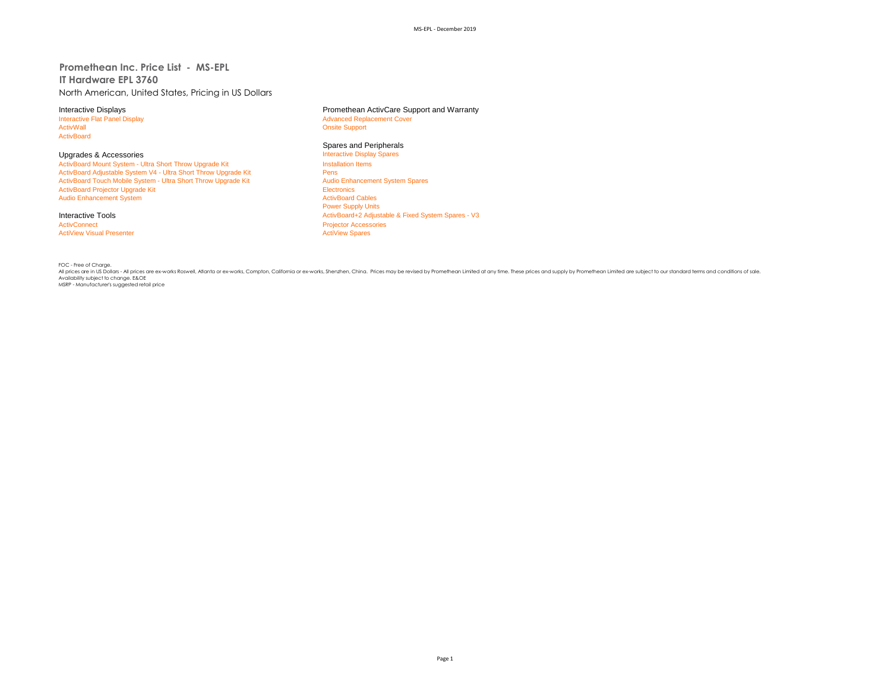**Promethean Inc. Price List - MS-EPL IT Hardware EPL 3760** North American, United States, Pricing in US Dollars

ActivBoard

Upgrades & Accessories **Interactive Display Spares Accessories** Interactive Display<br>
ActivBoard Mount System - Ultra Short Throw Upgrade Kit **Interactive Display Spares Installation** Items ActivBoard Mount System - Ultra Short Throw Upgrade Kit Install<br>
ActivBoard Adjustable System V4 - Ultra Short Throw Upgrade Kit Install ActivBoard Adjustable System V4 - Ultra Short Throw Upgrade Kit Pens<br>
Pens Persi ActivBoard Touch Mobile System - Ultra Short Throw Upgrade Kit Pens Pens Audio Enhancement System Spares ActivBoard Touch Mobile System - Ultra Short Throw Upgrade Kit ActivBoard Projector Upgrade Kit Electronics<br>
Audio Enhancement System<br>
ActivBoard Cables Audio Enhancement System

ActivConnect<br>
ActiView Visual Presenter<br>
ActiView Spares<br>
ActiView Spares **ActiView Visual Presenter** 

Interactive Displays<br>
Interactive Flat Panel Display<br> **Interactive Flat Panel Display**<br> **Advanced Replacement Cover** Interactive Flat Panel Display and The Supervisor of Advanced Replacement Cover<br>
Advanced Replacement Cover<br>
Advanced Replacement Cover **Onsite Support** 

# Spares and Peripherals<br>Interactive Display Spares

Power Supply Units Interactive Tools **Activ Example 2 Adjustable & Fixed System Spares - V3** ActivBoard+2 Adjustable & Fixed System Spares - V3

FOC - Free of Charge. All prices are in US Dollars - All prices are ex-works Roswell, Atlanta or ex-works, Compton, California or ex-works, Shenzhen, China. Prices may be revised by Promethean Limited at any time. These prices and supply by Promethean Limited are subject to our standard terms and conditions of sale. Availability subject to change. E&OE MSRP - Manufacturer's suggested retail price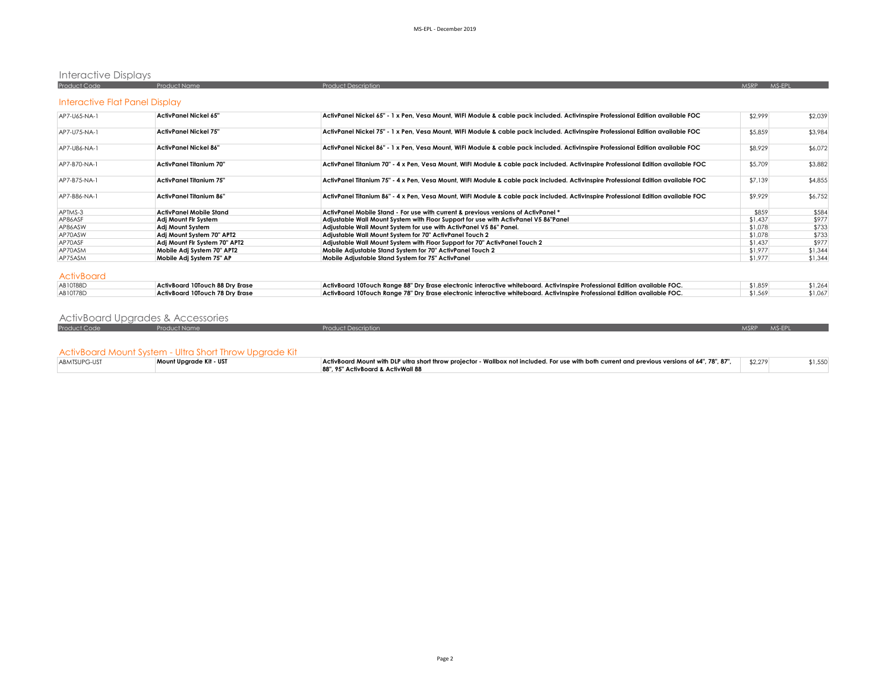# Interactive Displays

| <b>Product Code</b>            | <b>Product Name</b>             | <b>Product Description</b>                                                                                                        | MSRP MS-EPL |         |
|--------------------------------|---------------------------------|-----------------------------------------------------------------------------------------------------------------------------------|-------------|---------|
| Interactive Flat Panel Display |                                 |                                                                                                                                   |             |         |
| AP7-U65-NA-1                   | ActivPanel Nickel 65"           | ActivPanel Nickel 65" - 1 x Pen. Vesa Mount. WIFI Module & cable pack included. ActivInspire Professional Edition available FOC   | \$2,999     | \$2,039 |
| AP7-U75-NA-1                   | <b>ActivPanel Nickel 75"</b>    | ActivPanel Nickel 75" - 1 x Pen, Vesa Mount, WIFI Module & cable pack included. ActivInspire Professional Edition available FOC   | \$5,859     | \$3,984 |
| AP7-U86-NA-1                   | <b>ActivPanel Nickel 86"</b>    | ActivPanel Nickel 86" - 1 x Pen, Vesa Mount, WIFI Module & cable pack included. ActivInspire Professional Edition available FOC   | \$8,929     | \$6,072 |
| AP7-B70-NA-1                   | <b>ActivPanel Titanium 70"</b>  | ActivPanel Titanium 70" - 4 x Pen, Vesa Mount, WIFI Module & cable pack included. ActivInspire Professional Edition available FOC | \$5,709     | \$3,882 |
| AP7-B75-NA-1                   | ActivPanel Titanium 75"         | ActivPanel Titanium 75" - 4 x Pen, Vesa Mount, WIFI Module & cable pack included. ActivInspire Professional Edition available FOC | \$7,139     | \$4,855 |
| AP7-B86-NA-1                   | <b>ActivPanel Titanium 86"</b>  | ActivPanel Titanium 86" - 4 x Pen, Vesa Mount, WIFI Module & cable pack included. ActivInspire Professional Edition available FOC | \$9,929     | \$6,752 |
| APTMS-3                        | <b>ActivPanel Mobile Stand</b>  | ActivPanel Mobile Stand - For use with current & previous versions of ActivPanel *                                                | \$859       | \$584   |
| AP86ASF                        | Adi Mount Flr System            | Adjustable Wall Mount System with Floor Support for use with ActivPanel V5 86"Panel                                               | \$1,437     | \$977   |
| AP86ASW                        | Adj Mount System                | Adjustable Wall Mount System for use with ActivPanel V5 86" Panel.                                                                | \$1,078     | \$733   |
| AP70ASW                        | Adi Mount System 70" APT2       | Adjustable Wall Mount System for 70" ActivPanel Touch 2                                                                           | \$1,078     | \$733   |
| AP70ASF                        | Adi Mount Fir System 70" APT2   | Adjustable Wall Mount System with Floor Support for 70" ActivPanel Touch 2                                                        | \$1,437     | \$977   |
| AP70ASM                        | Mobile Adi System 70" APT2      | Mobile Adiustable Stand System for 70" ActivPanel Touch 2                                                                         | \$1,977     | \$1,344 |
| AP75ASM                        | Mobile Adi System 75" AP        | Mobile Adiustable Stand System for 75" ActivPanel                                                                                 | \$1,977     | \$1,344 |
| <b>ActivBoard</b>              |                                 |                                                                                                                                   |             |         |
| AB10T88D                       | ActivBoard 10Touch 88 Dry Erase | ActivBoard 10Touch Range 88" Dry Erase electronic interactive whiteboard. ActivInspire Professional Edition available FOC.        | \$1,859     | \$1,264 |
| AB10T78D                       | ActivBoard 10Touch 78 Dry Erase | ActivBoard 10Touch Range 78" Dry Erase electronic interactive whiteboard. ActivInspire Professional Edition available FOC.        | \$1,569     | \$1,067 |

# ActivBoard Upgrades & Accessories

| <b>Product Code</b> | <b>Product Name</b>                                     | <b>Product Description</b>                                                                                                                      |         |         |
|---------------------|---------------------------------------------------------|-------------------------------------------------------------------------------------------------------------------------------------------------|---------|---------|
|                     |                                                         |                                                                                                                                                 |         |         |
|                     |                                                         |                                                                                                                                                 |         |         |
|                     | ActivBoard Mount System - Ultra Short Throw Upgrade Kit |                                                                                                                                                 |         |         |
| ABMTSUPG-UST        | Mount Uparade Kit - UST                                 | ActivBoard Mount with DLP ultra short throw projector - Wallbox not included. For use with both current and previous versions of 64", 78", 87", | \$2,279 | \$1,550 |
|                     |                                                         | 88", 95" ActivBoard & ActivWall 88                                                                                                              |         |         |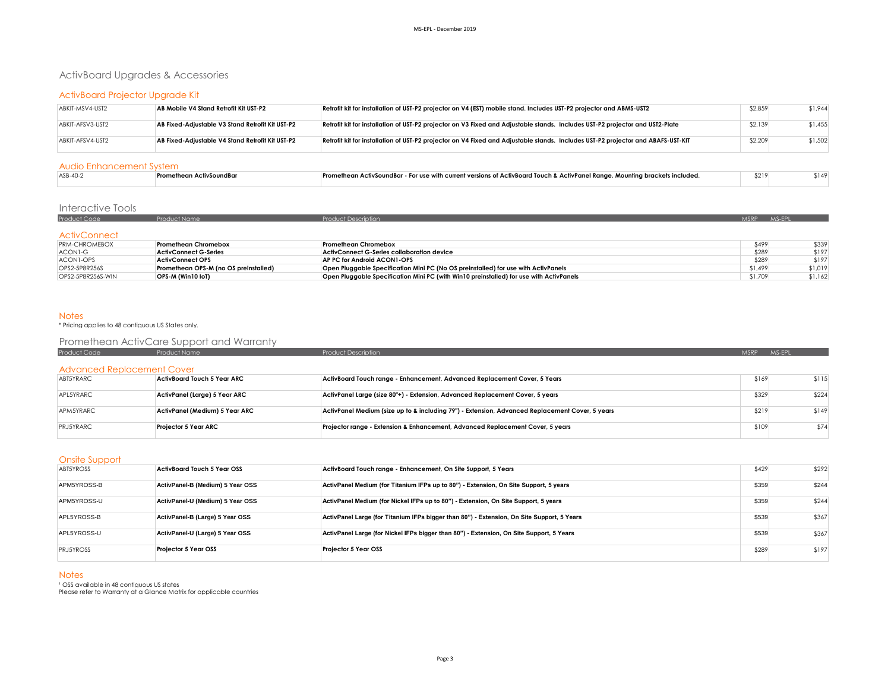# ActivBoard Upgrades & Accessories

### ActivBoard Projector Upgrade Kit

| ABKIT-MSV4-UST2  | AB Mobile V4 Stand Retrofit Kit UST-P2           | Retrofit kit for installation of UST-P2 projector on V4 (EST) mobile stand. Includes UST-P2 projector and ABMS-UST2              | \$2,859 | \$1,944 |
|------------------|--------------------------------------------------|----------------------------------------------------------------------------------------------------------------------------------|---------|---------|
| ABKIT-AFSV3-UST2 | AB Fixed-Adjustable V3 Stand Retrofit Kit UST-P2 | Retrofit kit for installation of UST-P2 projector on V3 Fixed and Adjustable stands. Includes UST-P2 projector and UST2-Plate    | \$2,139 | \$1,455 |
| ABKIT-AFSV4-UST2 | AB Fixed-Adiustable V4 Stand Retrofit Kit UST-P2 | Retrofit kit for installation of UST-P2 projector on V4 Fixed and Adjustable stands. Includes UST-P2 projector and ABAFS-UST-KIT | \$2,209 | \$1,502 |

#### Audio Enhancement System

| ASB-40- | vSoundBo | - Promethean ActivSoundBar - For use with current versions of ActivBoard Touch & ActivPanel Range. Mounting brackets included. | \$219 | 1149 |
|---------|----------|--------------------------------------------------------------------------------------------------------------------------------|-------|------|
|         |          |                                                                                                                                |       |      |

# Interactive Tools

| <b>Product Code</b> | Product Name | Product Description | MSRP MS-EPL |  |
|---------------------|--------------|---------------------|-------------|--|
|                     |              |                     |             |  |
| <b>ActivConnect</b> |              |                     |             |  |

| <b>PRM-CHROMEBOX</b> | <b>Promethean Chromebox</b>           | <b>Promethean Chromebox</b>                                                             | \$499   | \$339   |
|----------------------|---------------------------------------|-----------------------------------------------------------------------------------------|---------|---------|
| ACON1-G              | ActivConnect G-Series                 | ActivConnect G-Series collaboration device                                              | \$289   | \$197   |
| ACON1-OPS            | <b>ActivConnect OPS</b>               | AP PC for Android ACON1-OPS                                                             | \$289   | \$197   |
| OPS2-5P8R256S        | Promethean OPS-M (no OS preinstalled) | Open Pluggable Specification Mini PC (No OS preinstalled) for use with ActivPanels      | \$1,499 | \$1,019 |
| OPS2-5P8R256S-WIN    | OPS-M (Win10 IoT)                     | Open Pluggable Specification Mini PC (with Win10 preinstalled) for use with ActivPanels | \$1,709 | \$1,162 |

### Notes

\* Pricing applies to 48 contiguous US States only.

## Promethean ActivCare Support and Warranty

| Product Code                      | <b>Product Name</b>            | <b>Product Description</b>                                                                      | <b>MSRP</b> | MS-EPL |
|-----------------------------------|--------------------------------|-------------------------------------------------------------------------------------------------|-------------|--------|
| <b>Advanced Replacement Cover</b> |                                |                                                                                                 |             |        |
| ABT5YRARC                         | ActivBoard Touch 5 Year ARC    | ActivBoard Touch range - Enhancement, Advanced Replacement Cover, 5 Years                       | \$169       | \$115  |
| APL5YRARC                         | ActivPanel (Large) 5 Year ARC  | ActivPanel Large (size 80"+) - Extension, Advanced Replacement Cover, 5 years                   | \$329       | \$224  |
| APM5YRARC                         | ActivPanel (Medium) 5 Year ARC | ActivPanel Medium (size up to & including 79") - Extension, Advanced Replacement Cover, 5 years | \$219       | \$149  |
| <b>PRJ5YRARC</b>                  | Proiector 5 Year ARC           | Projector range - Extension & Enhancement, Advanced Replacement Cover, 5 years                  | \$109       | \$74   |

#### Onsite Support

| <b>ABT5YROSS</b> | ActivBoard Touch 5 Year OSS      | ActivBoard Touch range - Enhancement, On Site Support, 5 Years                             | \$429 | \$292 |
|------------------|----------------------------------|--------------------------------------------------------------------------------------------|-------|-------|
| APM5YROSS-B      | ActivPanel-B (Medium) 5 Year OSS | ActivPanel Medium (for Titanium IFPs up to 80") - Extension, On Site Support, 5 years      | \$359 | \$244 |
| APM5YROSS-U      | ActivPanel-U (Medium) 5 Year OSS | ActivPanel Medium (for Nickel IFPs up to 80") - Extension, On Site Support, 5 years        | \$359 | \$244 |
| APL5YROSS-B      | ActivPanel-B (Large) 5 Year OSS  | ActivPanel Large (for Titanium IFPs bigger than 80") - Extension, On Site Support, 5 Years | \$539 | \$367 |
| APL5YROSS-U      | ActivPanel-U (Large) 5 Year OSS  | ActivPanel Large (for Nickel IFPs bigger than 80") - Extension, On Site Support, 5 Years   | \$539 | \$367 |
| <b>PRJ5YROSS</b> | Projector 5 Year OSS             | Projector 5 Year OSS                                                                       | \$289 | \$197 |

#### **Notes**

' OSS available in 48 contiguous US states<br>Please refer to Warrantv at a Glance Matrix for applicable countries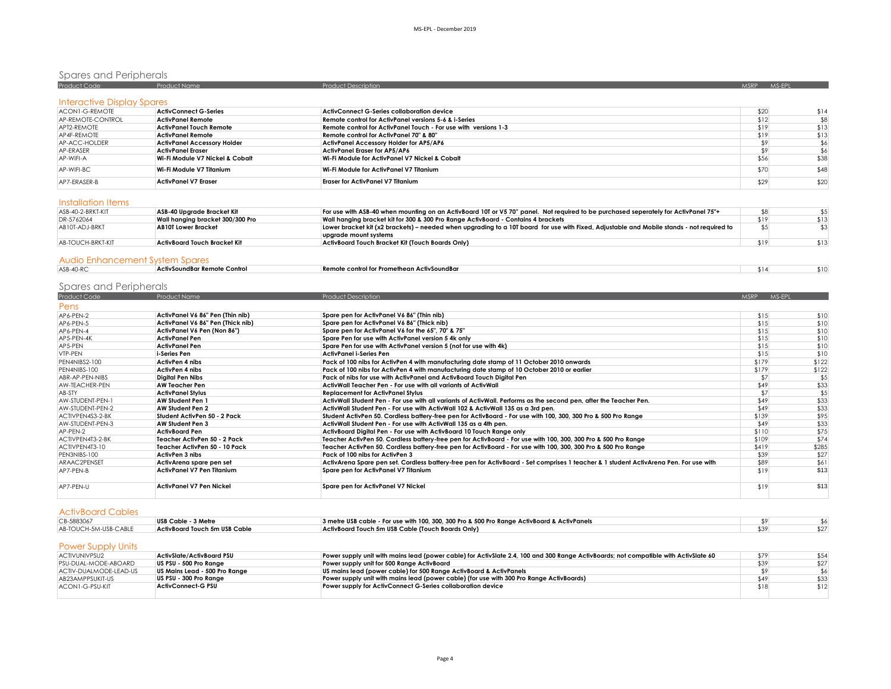# Spares and Peripherals<br>Product Code Product Name Product Name Product Description Product Description Assembly of the Second MSRP MS-

| Interactive Display Spares |                                    |                                                                 |      |      |
|----------------------------|------------------------------------|-----------------------------------------------------------------|------|------|
| <b>ACON1-G-REMOTE</b>      | <b>ActivConnect G-Series</b>       | <b>ActivConnect G-Series collaboration device</b>               | \$20 | \$14 |
| AP-REMOTE-CONTROL          | ActivPanel Remote                  | Remote control for ActivPanel versions 5-6 & i-Series           | \$12 | \$8  |
| APT2-REMOTE                | <b>ActivPanel Touch Remote</b>     | Remote control for ActivPanel Touch - For use with versions 1-3 | \$19 | \$13 |
| AP4F-REMOTE                | <b>ActivPanel Remote</b>           | Remote control for ActivPanel 70" & 80"                         | \$19 | \$13 |
| AP-ACC-HOLDER              | <b>ActivPanel Accessory Holder</b> | <b>ActivPanel Accessory Holder for AP5/AP6</b>                  | \$9  |      |
| AP-ERASER                  | <b>ActivPanel Eraser</b>           | ActivPanel Eraser for AP5/AP6                                   |      | \$6  |
| AP-WIFI-A                  | Wi-Fi Module V7 Nickel & Cobalt    | Wi-Fi Module for ActivPanel V7 Nickel & Cobalt                  | \$56 | \$38 |
| AP-WIFI-BC                 | Wi-Fi Module V7 Titanium           | Wi-Fi Module for ActivPanel V7 Titanium                         | \$70 | \$48 |
| AP7-FRASFR-B               | <b>ActivPanel V7 Eraser</b>        | <b>Eraser for ActivPanel V7 Titanium</b>                        | \$29 | \$20 |

### Installation Items

| \$19 | \$13                                                                                                                                                                                                                                                                             |
|------|----------------------------------------------------------------------------------------------------------------------------------------------------------------------------------------------------------------------------------------------------------------------------------|
|      |                                                                                                                                                                                                                                                                                  |
|      |                                                                                                                                                                                                                                                                                  |
| \$19 | \$13                                                                                                                                                                                                                                                                             |
|      |                                                                                                                                                                                                                                                                                  |
|      | For use with ASB-40 when mounting on an ActivBoard 10T or V5 70" panel. Not required to be purchased seperately for ActivPanel 75"+<br>Lower bracket kit (x2 brackets) – needed when upgrading to a 10T board for use with Fixed, Adjustable and Mobile stands - not required to |

### Audio Enhancement System Spares

| ASB-40-RC | e Control<br>r Remote i<br>  ActivSoundBar<br>. | Remote control for Prom<br>methean ActivSoundBar<br>. | \$14 |  |
|-----------|-------------------------------------------------|-------------------------------------------------------|------|--|
|           |                                                 |                                                       |      |  |

# Spares and Peripherals

| Product Code     | Product Name                      | <b>Product Description</b>                                                                                                            | MSRP MS-EPL |       |
|------------------|-----------------------------------|---------------------------------------------------------------------------------------------------------------------------------------|-------------|-------|
| Pens             |                                   |                                                                                                                                       |             |       |
| AP6-PEN-2        | ActivPanel V6 86" Pen (Thin nib)  | Spare pen for ActivPanel V6 86" (Thin nib)                                                                                            | \$15        | \$10  |
| AP6-PEN-5        | ActivPanel V6 86" Pen (Thick nib) | Spare pen for ActivPanel V6 86" (Thick nib)                                                                                           | \$15        | \$10  |
| AP6-PEN-4        | ActivPanel V6 Pen (Non 86")       | Spare pen for ActivPanel V6 for the 65", 70" & 75"                                                                                    | \$15        | \$10  |
| AP5-PEN-4K       | <b>ActivPanel Pen</b>             | Spare Pen for use with ActivPanel version 5 4k only                                                                                   | \$15        | \$10  |
| AP5-PEN          | <b>ActivPanel Pen</b>             | Spare Pen for use with ActivPanel version 5 (not for use with 4k)                                                                     | \$15        | \$10  |
| VTP-PEN          | i-Series Pen                      | <b>ActivPanel i-Series Pen</b>                                                                                                        | \$15        | \$10  |
| PEN4NIBS2-100    | <b>ActivPen 4 nibs</b>            | Pack of 100 nibs for ActivPen 4 with manufacturing date stamp of 11 October 2010 onwards                                              | \$179       | \$122 |
| PEN4NIBS-100     | ActivPen 4 nibs                   | Pack of 100 nibs for ActivPen 4 with manufacturing date stamp of 10 October 2010 or earlier                                           | \$179       | \$122 |
| ABR-AP-PEN-NIBS  | Digital Pen Nibs                  | Pack of nibs for use with ActivPanel and ActivBoard Touch Digital Pen                                                                 | \$7         | \$5   |
| AW-TEACHER-PEN   | <b>AW Teacher Pen</b>             | ActivWall Teacher Pen - For use with all variants of ActivWall                                                                        | \$49        | \$33  |
| AB-STY           | <b>ActivPanel Stylus</b>          | <b>Replacement for ActivPanel Stylus</b>                                                                                              | \$7         | \$5   |
| AW-STUDENT-PEN-1 | AW Student Pen 1                  | ActivWall Student Pen - For use with all variants of ActivWall. Performs as the second pen, after the Teacher Pen.                    | \$49        | \$33  |
| AW-STUDENT-PEN-2 | AW Student Pen 2                  | ActivWall Student Pen - For use with ActivWall 102 & ActivWall 135 as a 3rd pen.                                                      | \$49        | \$33  |
| ACTIVPEN4S3-2-BK | Student ActivPen 50 - 2 Pack      | Student ActivPen 50. Cordless battery-free pen for ActivBoard - For use with 100, 300, 300 Pro & 500 Pro Range                        | \$139       | \$95  |
| AW-STUDENT-PEN-3 | AW Student Pen 3                  | ActivWall Student Pen - For use with ActivWall 135 as a 4th pen.                                                                      | \$49        | \$33  |
| AP-PEN-2         | <b>ActivBoard Pen</b>             | ActivBoard Digital Pen - For use with ActivBoard 10 Touch Range only                                                                  | \$110       | \$75  |
| ACTIVPEN4T3-2-BK | Teacher ActivPen 50 - 2 Pack      | Teacher ActivPen 50. Cordless battery-free pen for ActivBoard - For use with 100, 300, 300 Pro & 500 Pro Range                        | \$109       | \$74  |
| ACTIVPEN4T3-10   | Teacher ActivPen 50 - 10 Pack     | Teacher ActivPen 50. Cordless battery-free pen for ActivBoard - For use with 100, 300, 300 Pro & 500 Pro Range                        | \$419       | \$285 |
| PEN3NIBS-100     | ActivPen 3 nibs                   | Pack of 100 nibs for ActivPen 3                                                                                                       | \$39        | \$27  |
| ARAAC2PENSET     | ActivArena spare pen set          | ActivArena Spare pen set. Cordless battery-free pen for ActivBoard - Set comprises 1 teacher & 1 student ActivArena Pen. For use with | \$89        | \$61  |
| AP7-PEN-B        | ActivPanel V7 Pen Titanium        | Spare pen for ActivPanel V7 Titanium                                                                                                  | \$19        | \$13  |
| AP7-PEN-U        | ActivPanel V7 Pen Nickel          | Spare pen for ActivPanel V7 Nickel                                                                                                    | \$19        | \$13  |

#### ActivBoard Cables

| CB-5883067            | USB Cable - 3 Metre           | 3 metre USB cable - For use with 100, 300, 300 Pro & 500 Pro Range ActivBoard & ActivPanels |  |
|-----------------------|-------------------------------|---------------------------------------------------------------------------------------------|--|
| AB-TOUCH-5M-USB-CABLE | ActivBoard Touch 5m USB Cable | ActivBoard Touch 5m USB Cable (Touch Boards Only)                                           |  |
|                       |                               |                                                                                             |  |

## Power Supply Units

| ACTIVUNIVPSU2          | ActivSlate/ActivBoard PSU     | Power supply unit with mains lead (power cable) for ActivSlate 2.4, 100 and 300 Range ActivBoards; not compatible with ActivSlate 60 | \$79 | \$54 |
|------------------------|-------------------------------|--------------------------------------------------------------------------------------------------------------------------------------|------|------|
| PSU-DUAL-MODE-ABOARD   | US PSU - 500 Pro Range        | Power supply unit for 500 Range ActivBoard                                                                                           | \$39 | \$27 |
| ACTIV-DUALMODE-LEAD-US | US Mains Lead - 500 Pro Range | US mains lead (power cable) for 500 Range ActivBoard & ActivPanels                                                                   |      |      |
| AB23AMPPSUKIT-US       | US PSU - 300 Pro Ranae        | Power supply unit with mains lead (power cable) (for use with 300 Pro Range ActivBoards)                                             | \$49 | \$33 |
| ACON1-G-PSU-KIT        | <b>ActivConnect-G PSU</b>     | Power supply for ActivConnect G-Series collaboration device                                                                          | \$18 | \$12 |
|                        |                               |                                                                                                                                      |      |      |